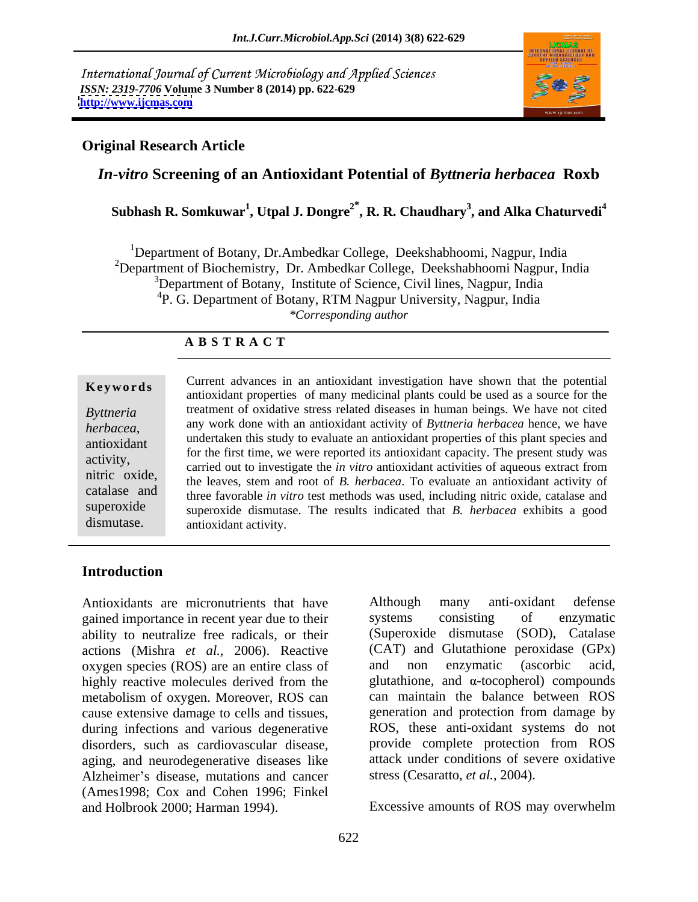International Journal of Current Microbiology and Applied Sciences *ISSN: 2319-7706* **Volume 3 Number 8 (2014) pp. 622-629 <http://www.ijcmas.com>**



## **Original Research Article**

# *In-vitro* **Screening of an Antioxidant Potential of** *Byttneria herbacea* **Roxb**

**Subhash R. Somkuwar<sup>1</sup> , Utpal J. Dongre2\* , R. R. Chaudhary<sup>3</sup> , and Alka Chaturvedi<sup>4</sup>**

<sup>1</sup>Department of Botany, Dr.Ambedkar College, Deekshabhoomi, Nagpur, India <sup>2</sup>Department of Biochemistry, Dr. Ambedkar College, Deekshabhoomi Nagpur, India <sup>3</sup>Department of Botany, Institute of Science, Civil lines, Nagpur, India <sup>4</sup>P. G. Department of Botany, RTM Nagpur University, Nagpur, India \*Corresponding author *\*Corresponding author*

### **A B S T R A C T**

**Keywords**<br>
antioxidant properties of many medicinal plants could be used as a source for the *Byttneria*  treatment of oxidative stress related diseases in human beings. We have not cited *herbacea,* any work done with an antioxidant activity of *Byttneria herbacea* hence, we have antioxidant undertaken this study to evaluate an antioxidant properties of this plant species and activity,<br>
carried out to investigate the *in vitro* antioxidant activities of aqueous extract from nitric oxide,<br>the leaves, stem and root of *B. herbacea*. To evaluate an antioxidant activity of catalase and three favorable *in vitro* test methods was used, including nitric oxide, catalase and superoxide superoxide dismutase. The results indicated that *B. herbacea* exhibits a good dismutase. antioxidant activity. Current advances in an antioxidant investigation have shown that the potential for the first time, we were reported its antioxidant capacity. The present study was

# **Introduction**

gained importance in recent year due to their systems consisting of enzymatic ability to neutralize free radicals, or their actions (Mishra *et al.*, 2006). Reactive (CAT) and Glutathione peroxidase oxygen species (ROS) are an entire class of and non enzymatic (ascorbic oxygen species (ROS) are an entire class of and non enzymatic (ascorbic acid, highly reactive molecules derived from the metabolism of oxygen. Moreover, ROS can cause extensive damage to cells and tissues, during infections and various degenerative disorders, such as cardiovascular disease, provide complete protection from ROS aging, and neurodegenerative diseases like Alzheimer's disease, mutations and cancer (Ames1998; Cox and Cohen 1996; Finkel and Holbrook 2000; Harman 1994). Excessive amounts of ROS may overwhelm

Antioxidants are micronutrients that have Although many anti-oxidant defense Although many anti-oxidant defense systems consisting of enzymatic (Superoxide dismutase (SOD), Catalase (CAT) and Glutathione peroxidase (GPx) and non enzymatic (ascorbic acid, glutathione, and  $\alpha$ -tocopherol) compounds can maintain the balance between ROS generation and protection from damage by ROS, these anti-oxidant systems do not attack under conditions of severe oxidative stress (Cesaratto, *et al.,* 2004).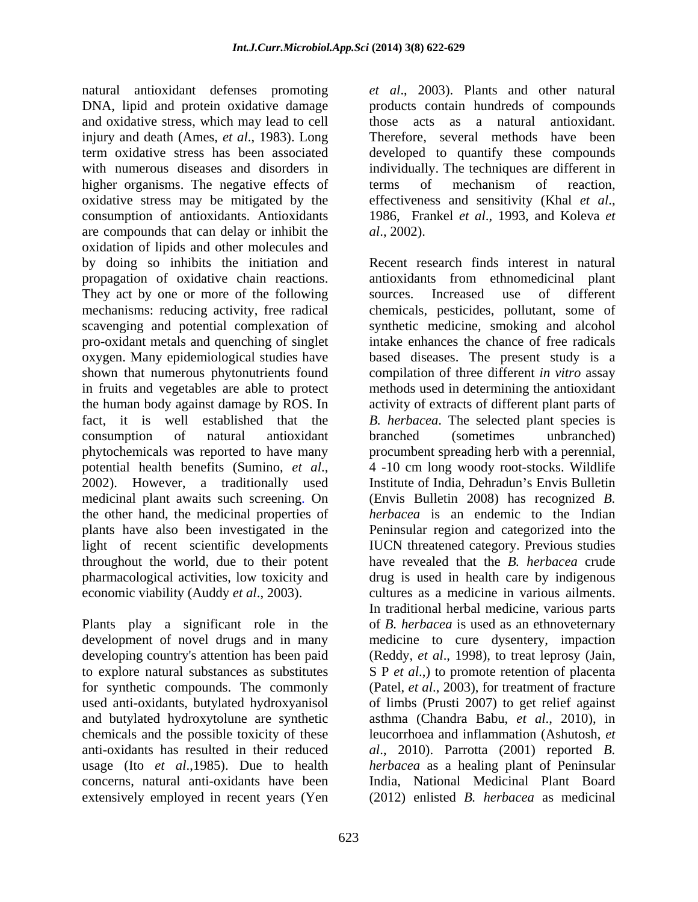natural antioxidant defenses promoting *et al*., 2003). Plants and other natural DNA, lipid and protein oxidative damage products contain hundreds of compounds and oxidative stress, which may lead to cell those acts as a natural antioxidant. injury and death (Ames, *et al.*, 1983). Long Therefore, several methods have been term oxidative stress has been associated developed to quantify these compounds with numerous diseases and disorders in individually. The techniques are different in higher organisms. The negative effects of terms of mechanism of reaction, oxidative stress may be mitigated by the consumption of antioxidants. Antioxidants 1986, Frankel *et al*., 1993, and Koleva *et* are compounds that can delay or inhibit the  $al., 2002$ . oxidation of lipids and other molecules and by doing so inhibits the initiation and Recent research finds interest in natural propagation of oxidative chain reactions. They act by one or more of the following sources. Increased use of different pro-oxidant metals and quenching of singlet in fruits and vegetables are able to protect fact, it is well established that the throughout the world, due to their potent

development of novel drugs and in many and butylated hydroxytolune are synthetic chemicals and the possible toxicity of these concerns, natural anti-oxidants have been extensively employed in recent years (Yen

those acts as <sup>a</sup> natural antioxidant. Therefore, several methods have been terms of mechanism of reaction, effectiveness and sensitivity (Khal *et al*.,

mechanisms: reducing activity, free radical chemicals, pesticides, pollutant, some of scavenging and potential complexation of synthetic medicine, smoking and alcohol oxygen. Many epidemiological studies have based diseases. The present study is a shown that numerous phytonutrients found compilation of three different *in vitro* assay the human body against damage by ROS. In activity of extracts of different plant parts of consumption of natural antioxidant phytochemicals was reported to have many procumbent spreading herb with a perennial, potential health benefits (Sumino, *et al.*, 2002). However, a traditionally used a Institute of India, Dehradun's Envis Bulletin medicinal plant awaits such screening. On (Envis Bulletin 2008) has recognized *B.* the other hand, the medicinal properties of *herbacea* is an endemic to the Indian plants have also been investigated in the Peninsular region and categorized into the light of recent scientific developments IUCN threatened category. Previous studies pharmacological activities, low toxicity and drug is used in health care by indigenous economic viability (Auddy *et al.*, 2003). Cultures as a medicine in various ailments.<br>
In traditional herbal medicine, various parts<br>
Plants play a significant role in the of *B. herbacea* is used as an ethnoveternary developing country's attention has been paid (Reddy, *et al*., 1998), to treat leprosy (Jain, to explore natural substances as substitutes S P *et al*.,) to promote retention of placenta for synthetic compounds. The commonly (Patel, *et al*., 2003), for treatment of fracture used anti-oxidants, butylated hydroxyanisol of limbs (Prusti 2007) to get relief against anti-oxidants has resulted in their reduced *al*., 2010). Parrotta (2001) reported *B.*  usage (Ito *et al*.,1985). Due to health *herbacea* as a healing plant of Peninsular *al*., 2002). Recent research finds interest in natural antioxidants from ethnomedicinal plant sources. Increased use of different intake enhances the chance of free radicals methods used in determining the antioxidant *B. herbacea*. The selected plant species is branched (sometimes unbranched) 4 -10 cm long woody root-stocks. Wildlife Institute of India, Dehradun's Envis Bulletin have revealed that the *B. herbacea* crude cultures as a medicine in various ailments. In traditional herbal medicine, various parts of *B. herbacea* is used as an ethnoveternary medicine to cure dysentery, impaction asthma (Chandra Babu, *et al*., 2010), in leucorrhoea and inflammation (Ashutosh, *et* India, National Medicinal Plant Board (2012) enlisted *B. herbacea* as medicinal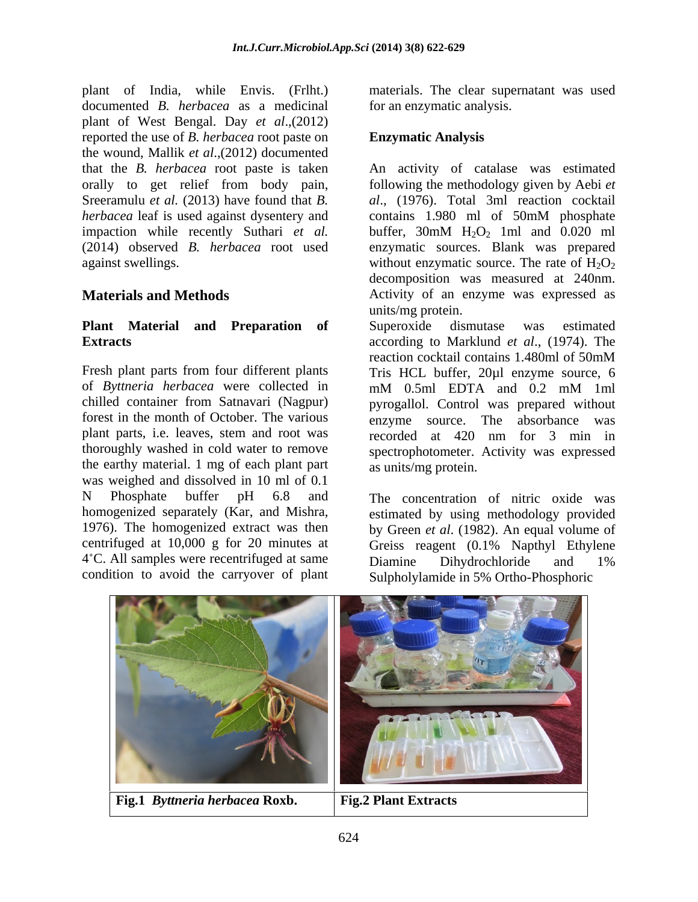plant of India, while Envis. (Frlht.) materials. The clear supernatant was used documented *B. herbacea* as a medicinal plant of West Bengal. Day *et al*.,(2012) reported the use of *B. herbacea* root paste on the wound, Mallik *et al*.,(2012) documented impaction while recently Suthari *et al.* buffer, 30mM H<sub>2</sub>O<sub>2</sub> 1ml and 0.020 ml

# **Plant Material and Preparation of**

of *Byttneria herbacea* were collected in plant parts, i.e. leaves, stem and root was recorded at 420 nm for 3 min in the earthy material. 1 mg of each plant part was weighed and dissolved in 10 ml of 0.1 N Phosphate buffer pH 6.8 and The concentration of nitric oxide was 4°C. All samples were recentrifuged at same Diamine Dihydrochloride and 1% condition to avoid the carryover of plant

for an enzymatic analysis.

## **Enzymatic Analysis**

that the *B. herbacea* root paste is taken An activity of catalase was estimated orally to get relief from body pain, following the methodology given by Aebi *et*  Sreeramulu *et al.* (2013) have found that *B. al*., (1976). Total 3ml reaction cocktail *herbacea* leaf is used against dysentery and contains 1.980 ml of 50mM phosphate (2014) observed *B. herbacea* root used enzymatic sources. Blank was prepared against swellings.  $\blacksquare$  without enzymatic source. The rate of  $\text{H}_2\text{O}_2$ **Materials and Methods Activity of an enzyme was expressed as** buffer,  $30 \text{mM}$  H<sub>2</sub>O<sub>2</sub> 1ml and 0.020 ml decomposition was measured at 240nm.

**Extracts** according to Marklund *et al*., (1974). The Fresh plant parts from four different plants Tris HCL buffer, 20µl enzyme source, 6 chilled container from Satnavari (Nagpur) pyrogallol. Control was prepared without forest in the month of October. The various enzyme source. The absorbance was thoroughly washed in cold water to remove spectrophotometer. Activity was expressed units/mg protein. Superoxide dismutase was estimated reaction cocktail contains 1.480ml of 50mM mM 0.5ml EDTA and 0.2 mM 1ml recorded at 420 nm for 3 min in as units/mg protein.

homogenized separately (Kar, and Mishra, estimated by using methodology provided 1976). The homogenized extract was then by Green *et al*. (1982). An equal volume of centrifuged at 10,000 g for 20 minutes at Greiss reagent (0.1% Napthyl Ethylene Diamine Dihydrochloride and 1% Sulpholylamide in 5% Ortho-Phosphoric

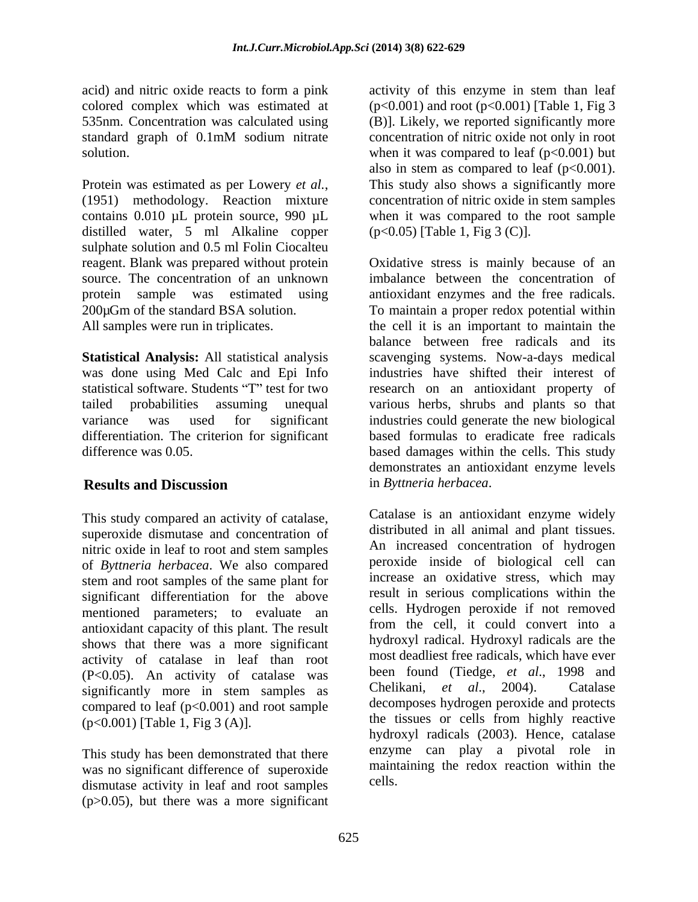Protein was estimated as per Lowery *et al.*, (1951) methodology. Reaction mixture concentration of nitric oxide in stem samples contains 0.010 µL protein source, 990 µL when it was compared to the root sample distilled water, 5 ml Alkaline copper sulphate solution and 0.5 ml Folin Ciocalteu

differentiation. The criterion for significant

superoxide dismutase and concentration of nitric oxide in leaf to root and stem samples of *Byttneria herbacea*. We also compared stem and root samples of the same plant for significant differentiation for the above mentioned parameters; to evaluate an antioxidant capacity of this plant. The result shows that there was a more significant activity of catalase in leaf than root  $(P<0.05)$ . An activity of catalase was been found (Tiedge, *et al.*, 1998 and constructionally more in stem samples as Chelikani, *et al.*, 2004). Catalase significantly more in stem samples as compared to leaf  $(p<0.001)$  and root sample (p<0.001) [Table 1, Fig 3 (A)].

This study has been demonstrated that there was no significant difference of superoxide dismutase activity in leaf and root samples (p>0.05), but there was a more significant

acid) and nitric oxide reacts to form a pink activity of this enzyme in stem than leaf colored complex which was estimated at  $(p<0.001)$  and root  $(p<0.001)$  [Table 1, Fig 3 535nm. Concentration was calculated using (B)]. Likely, we reported significantly more standard graph of 0.1mM sodium nitrate concentration of nitric oxide not only in root solution.  $\omega$  when it was compared to leaf (p<0.001) but concentration of nitric oxide not only in root also in stem as compared to leaf  $(p<0.001)$ . This study also shows a significantly more (p<0.05) [Table 1, Fig 3 (C)].

reagent. Blank was prepared without protein Oxidative stress is mainly because of an source. The concentration of an unknown imbalance between the concentration of protein sample was estimated using antioxidant enzymes and the free radicals. 200µGm of the standard BSA solution. To maintain a proper redox potential within All samples were run in triplicates. the cell it is an important to maintain the **Statistical Analysis:** All statistical analysis scavenging systems. Now-a-days medical was done using Med Calc and Epi Info industries have shifted their interest of statistical software. Students "T" test for two research on an antioxidant property of tailed probabilities assuming unequal various herbs, shrubs and plants so that variance was used for significant industries could generate the new biological difference was 0.05. based damages within the cells. This study **Results and Discussion Secure 2.5 and Systems in Byttneria herbacea.** balance between free radicals and its based formulas to eradicate free radicals demonstrates an antioxidant enzyme levels

This study compared an activity of catalase, Catalase is an antioxidant enzyme widely in *Byttneria herbacea*. Catalase is an antioxidant enzyme widely distributed in all animal and plant tissues. An increased concentration of hydrogen peroxide inside of biological cell can increase an oxidative stress, which may result in serious complications within the cells. Hydrogen peroxide if not removed from the cell, it could convert into a hydroxyl radical. Hydroxyl radicals are the most deadliest free radicals, which have ever been found (Tiedge, *et al*., 1998 and Chelikani, *et al*., 2004). Catalase decomposes hydrogen peroxide and protects the tissues or cells from highly reactive hydroxyl radicals (2003). Hence, catalase enzyme can play a pivotal role in maintaining the redox reaction within the cells.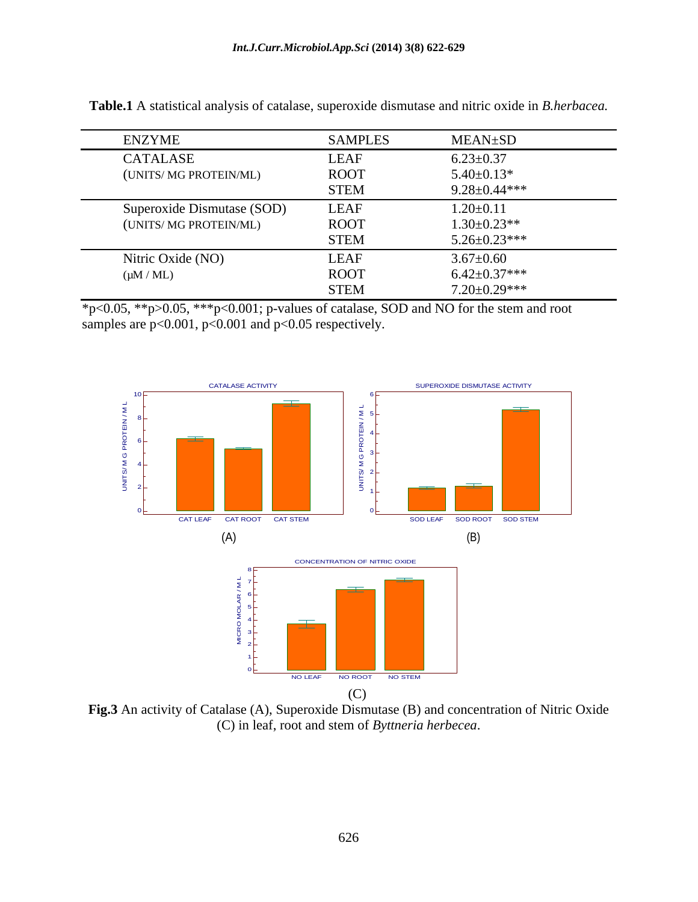| <b>ENZYME</b>              | <b>SAMPLES</b> | MEAN±SD            |
|----------------------------|----------------|--------------------|
| <b>CATALASE</b>            | <b>LEAF</b>    | $6.23 \pm 0.37$    |
| (UNITS/ MG PROTEIN/ML)     | <b>ROOT</b>    | $5.40 \pm 0.13*$   |
|                            | <b>STEM</b>    | $9.28 \pm 0.44***$ |
| Superoxide Dismutase (SOD) | <b>LEAF</b>    | $1.20 \pm 0.11$    |
| (UNITS/ MG PROTEIN/ML)     | <b>ROOT</b>    | $1.30 \pm 0.23**$  |
|                            | <b>STEM</b>    | $5.26 \pm 0.23***$ |
| Nitric Oxide (NO)          | <b>LEAF</b>    | $3.67 \pm 0.60$    |
| $(\mu M / ML)$             | <b>ROOT</b>    | $6.42 \pm 0.37***$ |
|                            | <b>STEM</b>    | $7.20 \pm 0.29***$ |

**Table.1** A statistical analysis of catalase, superoxide dismutase and nitric oxide in *B.herbacea.*

 $*p<0.05$ ,  $*p>0.05$ ,  $**p<0.001$ ; p-values of catalase, SOD and NO for the stem and root samples are p<0.001, p<0.001 and p<0.05 respectively.



**Fig.3** An activity of Catalase (A), Superoxide Dismutase (B) and concentration of Nitric Oxide (C) in leaf, root and stem of *Byttneria herbecea*.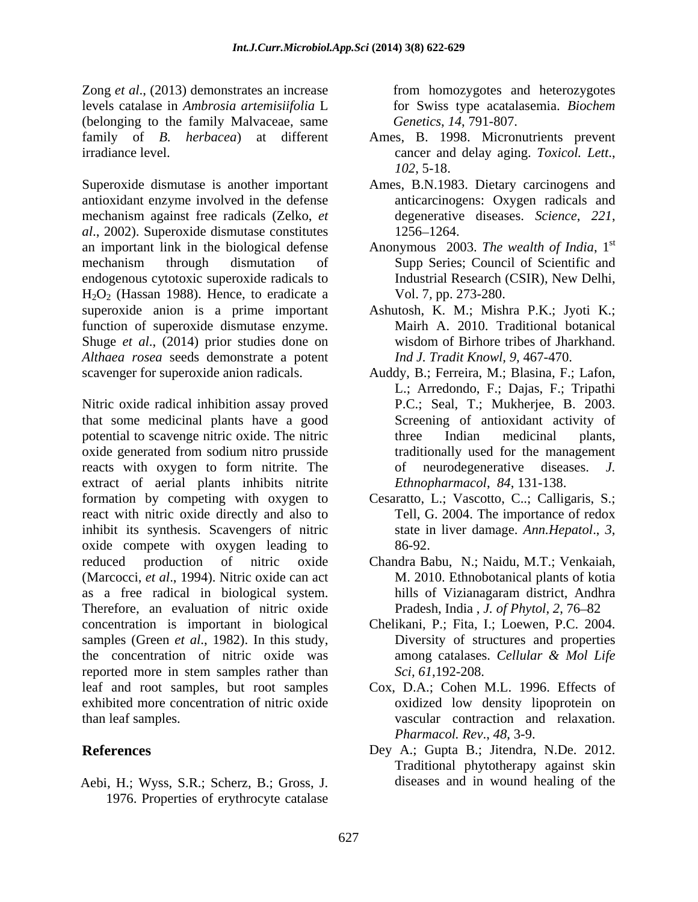Zong *et al*., (2013) demonstrates an increase levels catalase in *Ambrosia artemisiifolia* L for Swiss type acatalasemia. *Biochem*  (belonging to the family Malvaceae, same family of *B. herbacea*) at different Ames, B. 1998. Micronutrients prevent

Superoxide dismutase is another important Ames, B.N.1983. Dietary carcinogens and antioxidant enzyme involved in the defense mechanism against free radicals (Zelko, *et* degenerative diseases. Science, 221, *al*., 2002). Superoxide dismutase constitutes an important link in the biological defense Anonymous 2003. *The wealth of India*, 1 mechanism through dismutation of Supp Series; Council of Scientific and endogenous cytotoxic superoxide radicals to Industrial Research (CSIR), New Delhi,  $H<sub>2</sub>O<sub>2</sub>$  (Hassan 1988). Hence, to eradicate a superoxide anion is a prime important superoxide anion is a prime important Ashutosh, K. M.; Mishra P.K.; Jyoti K.; function of superoxide dismutase enzyme. Shuge *et al.*, (2014) prior studies done on wisdom of Birhore tribes of Jharkhand. *Althaea rosea* seeds demonstrate a potent

that some medicinal plants have a good potential to scavenge nitric oxide. The nitric oxide generated from sodium nitro prusside reacts with oxygen to form nitrite. The of neurodegenerative diseases. J. extract of aerial plants inhibits nitrite formation by competing with oxygen to react with nitric oxide directly and also to inhibit its synthesis. Scavengers of nitric state in liver damage. Ann. Hepatol., 3, oxide compete with oxygen leading to reduced production of nitric oxide Chandra Babu, N.; Naidu, M.T.; Venkaiah, (Marcocci, *et al*., 1994). Nitric oxide can act as a free radical in biological system. Therefore, an evaluation of nitric oxide concentration is important in biological samples (Green *et al*., 1982). In this study, the concentration of nitric oxide was reported more in stem samples rather than leaf and root samples, but root samples Cox, D.A.; Cohen M.L. 1996. Effects of exhibited more concentration of nitric oxide

Aebi, H.; Wyss, S.R.; Scherz, B.; Gross, J. 1976. Properties of erythrocyte catalase

from homozygotes and heterozygotes *Genetics*, *14*, 791-807.

- irradiance level. cancer and delay aging. *Toxicol. Lett*., *102*, 5-18.
	- anticarcinogens: Oxygen radicals and degenerative diseases. *Science*, 221, 1256–1264.
	- st Vol. 7*,* pp. 273-280.
	- Mairh A. 2010. Traditional botanical wisdom of Birhore tribes of Jharkhand. *Ind J. Tradit Knowl, 9,* 467-470.
- scavenger for superoxide anion radicals. Auddy, B.; Ferreira, M.; Blasina, F.; Lafon,<br>L.; Arredondo, F.; Dajas, F.; Tripathi<br>Nitric oxide radical inhibition assay proved P.C.; Seal, T.; Mukherjee, B. 2003. Auddy, B.; Ferreira, M.; Blasina, F.; Lafon, L.; Arredondo, F.; Dajas, F.; Tripathi P.C.; Seal, T.; Mukherjee, B. 2003. Screening of antioxidant activity of three Indian medicinal plants, traditionally used for the management of neurodegenerative diseases. *Ethnopharmacol*, *84*, 131-138.
	- Cesaratto, L.; Vascotto, C..; Calligaris, S.; Tell, G. 2004. The importance of redox state in liver damage. *Ann.Hepatol*., *<sup>3</sup>*, 86-92.
	- M. 2010. Ethnobotanical plants of kotia hills of Vizianagaram district, Andhra Pradesh, India , *J. of Phytol*, 2, 76–82
	- Chelikani, P.; Fita, I.; Loewen, P.C. 2004. Diversity of structures and properties among catalases. *Cellular & Mol Life Sci, 61*,192-208.
- than leaf samples. vascular contraction and relaxation. oxidized low density lipoprotein on *Pharmacol. Rev*., *48*, 3-9.
- **References** Dey A.; Gupta B.; Jitendra, N.De. 2012. Traditional phytotherapy against skin diseases and in wound healing of the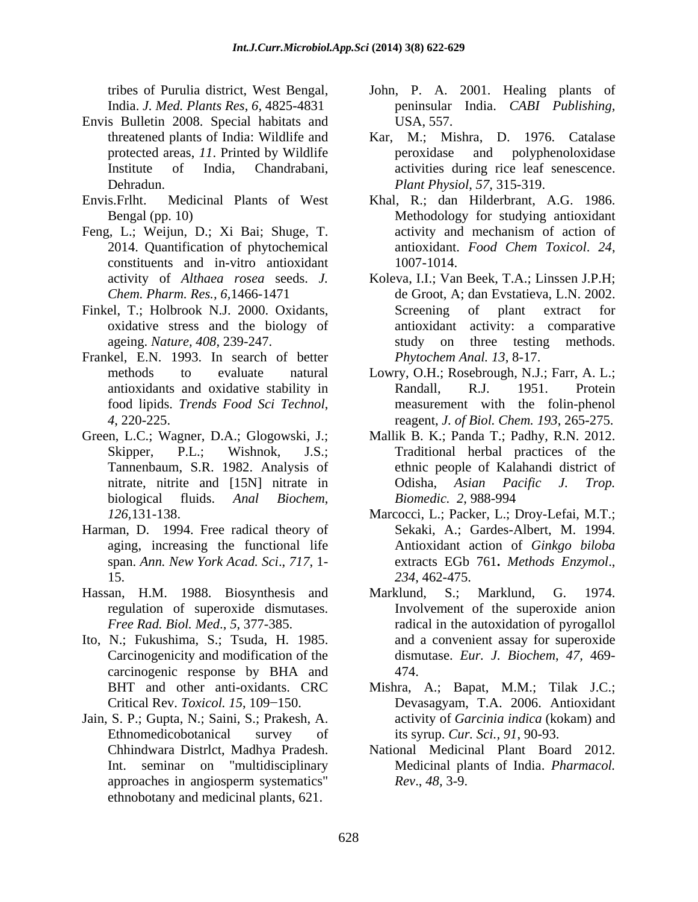- Envis Bulletin 2008. Special habitats and
- 
- Feng, L.; Weijun, D.; Xi Bai; Shuge, T. activity and mechanism of action of 2014. Quantification of phytochemical antioxidant. *Food Chem Toxicol.* 24, constituents and in-vitro antioxidant
- 
- Frankel, E.N. 1993. In search of better
- biological fluids. *Anal Biochem*,
- Harman, D. 1994. Free radical theory of 15. 234, 462-475.
- Hassan, H.M. 1988. Biosynthesis and Marklund, S.; Marklund, G. 1974.
- Ito, N.; Fukushima, S.; Tsuda, H. 1985. carcinogenic response by BHA and
- Jain, S. P.; Gupta, N.; Saini, S.; Prakesh, A. ethnobotany and medicinal plants, 621.
- tribes of Purulia district, West Bengal, John, P. A. 2001. Healing plants of India. *J. Med. Plants Res*, *6,* 4825-4831 peninsular India. *CABI Publishing,* USA, 557.
- threatened plants of India: Wildlife and Kar, M.; Mishra, D. 1976. Catalase protected areas, *11*. Printed by Wildlife Institute of India, Chandrabani, activities during rice leaf senescence. Dehradun. *Plant Physiol*, *57,* 315-319. peroxidase and polyphenoloxidase
- Envis.Frlht. Medicinal Plants of West Khal, R.; dan Hilderbrant, A.G. 1986. Bengal (pp. 10) Methodology for studying antioxidant activity and mechanism of action of antioxidant. *Food Chem Toxicol*. *24*, 1007-1014.
- activity of *Althaea rosea* seeds. *J.*  Koleva, I.I.; Van Beek, T.A.; Linssen J.P.H; *Chem. Pharm. Res., 6,*1466-1471 de Groot, A; dan Evstatieva, L.N. 2002. Finkel, T.; Holbrook N.J. 2000. Oxidants, Screening of plant extract for oxidative stress and the biology of antioxidant activity: a comparative ageing. *Nature, 408*, 239-247. Screening of plant extract for study on three testing methods. *Phytochem Anal. 13*, 8-17.
	- methods to evaluate natural Lowry, O.H.; Rosebrough, N.J.; Farr, A. L.; antioxidants and oxidative stability in Randall, R.J. 1951. Protein food lipids. *Trends Food Sci Technol*, measurement with the folin-phenol *4*, 220-225. reagent, *J. of Biol. Chem. 193*, 265-275. Randall, R.J. 1951. Protein
- Green, L.C.; Wagner, D.A.; Glogowski, J.; Mallik B. K.; Panda T.; Padhy, R.N. 2012. Skipper, P.L.; Wishnok, J.S.; Traditional herbal practices of the Tannenbaum, S.R. 1982. Analysis of ethnic people of Kalahandi district of nitrate, nitrite and [15N] nitrate in Colisha, Asian Pacific J. Trop. Odisha, *Asian Pacific J. Trop. Biomedic.**2*, 988-994
	- *126,*131-138. Marcocci, L.; Packer, L.; Droy-Lefai, M.T.; aging, increasing the functional life Antioxidant action of *Ginkgo biloba* span. *Ann. New York Acad. Sci*., *717*, 1- extracts EGb 761**.** *Methods Enzymol*., Sekaki, A.; Gardes-Albert, M. 1994. *234*, 462-475.
	- regulation of superoxide dismutases. Involvement of the superoxide anion *Free Rad. Biol. Med*., *5*, 377-385. radical in the autoxidation of pyrogallol Carcinogenicity and modification of the dismutase. *Eur. J.Biochem*, *47,* 469- Marklund, S.; Marklund, and a convenient assay for superoxide 474.
	- BHT and other anti-oxidants. CRC Mishra, A.; Bapat, M.M.; Tilak J.C.; Critical Rev. *Toxicol. 15*, 109 150. Devasagyam, T.A. 2006. Antioxidant Ethnomedicobotanical survey of its syrup. Cur. Sci., 91, 90-93. activity of *Garcinia indica* (kokam) and its syrup. *Cur. Sci., 91*, 90-93.
	- Chhindwara Distrlct, Madhya Pradesh. National Medicinal Plant Board 2012. Int. seminar on "multidisciplinary Medicinal plants of India. *Pharmacol.*  approaches in angiosperm systematics" Rev., 48, 3-9. *Rev*., *48,* 3-9.